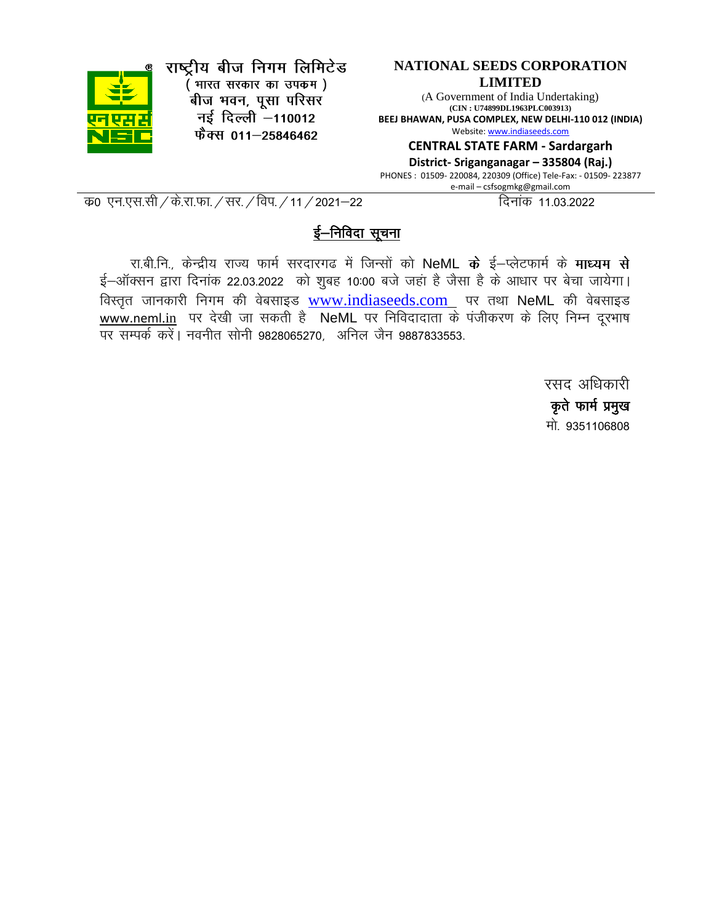

राष्ट्रीय बीज निगम लिमिटेड (भारत सरकार का उपकम)

<sup>.</sup><br>बीज भवन, पूसा परिसर नई दिल्ली -110012 फैक्स 011-25846462

#### **NATIONAL SEEDS CORPORATION LIMITED**

(A Government of India Undertaking) **(CIN : U74899DL1963PLC003913) BEEJ BHAWAN, PUSA COMPLEX, NEW DELHI-110 012 (INDIA)** Website[: www.indiaseeds.com](http://www.indiaseeds.com/)

**CENTRAL STATE FARM - Sardargarh**

**District- Sriganganagar – 335804 (Raj.)** PHONES : 01509- 220084, 220309 (Office) Tele-Fax: - 01509- 223877 e-mail – csfsogmkg@gmail.com

d z0 ,u-,l-lh@ds-jk-Qk-@lj-@foi-@11@2021&22 fnukad 11-03-2022

### ई–निविदा सूचना

रा.बी.नि., केन्द्रीय राज्य फार्म सरदारगढ में जिन्सों को NeML के ई–प्लेटफार्म के माध्यम से ई-ऑक्सन द्वारा दिनांक 22.03.2022 को शुबह 10:00 बजे जहां है जैसा है के आधार पर बेचा जायेगा। विस्तृत जानकारी निगम की वेबसाइड [www.indiaseeds.com](http://www.indiaseeds.com/) पर तथा NeML की वेबसाइड www.neml.in पर देखी जा सकती है NeML पर निविदादाता के पंजीकरण के लिए निम्न दूरभाष पर सम्पर्क करें। नवनीत सोनी 9828065270, अनिल जैन 9887833553.

> रसद अधिकारी कृते फार्म प्रमुख मो 9351106808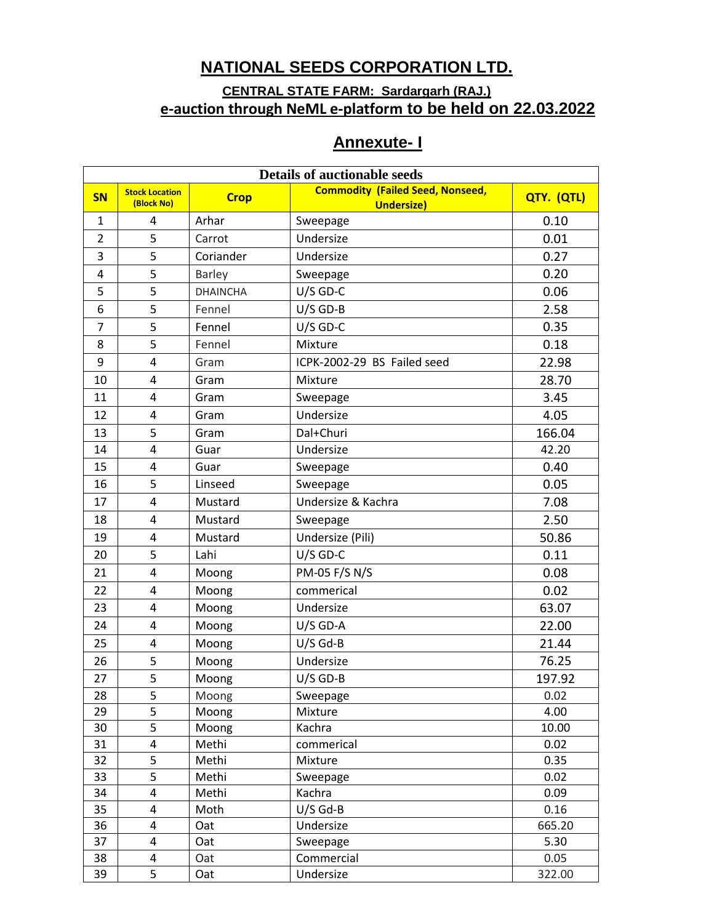## **NATIONAL SEEDS CORPORATION LTD.**

### **CENTRAL STATE FARM: Sardargarh (RAJ.) e-auction through NeML e-platform to be held on 22.03.2022**

|  | <b>Annexute-I</b> |  |
|--|-------------------|--|
|  |                   |  |

| <b>Details of auctionable seeds</b> |                       |                 |                                         |            |
|-------------------------------------|-----------------------|-----------------|-----------------------------------------|------------|
| SN                                  | <b>Stock Location</b> | <b>Crop</b>     | <b>Commodity (Failed Seed, Nonseed,</b> | QTY. (QTL) |
|                                     | (Block No)            |                 | <b>Undersize)</b>                       |            |
| $\mathbf{1}$                        | 4                     | Arhar           | Sweepage                                | 0.10       |
| $\overline{2}$                      | 5                     | Carrot          | Undersize                               | 0.01       |
| 3                                   | 5                     | Coriander       | Undersize                               | 0.27       |
| 4                                   | 5                     | Barley          | Sweepage                                | 0.20       |
| 5                                   | 5                     | <b>DHAINCHA</b> | $U/S$ GD-C                              | 0.06       |
| 6                                   | 5                     | Fennel          | $U/S$ GD-B                              | 2.58       |
| $\overline{7}$                      | 5                     | Fennel          | $U/S$ GD-C                              | 0.35       |
| 8                                   | 5                     | Fennel          | Mixture                                 | 0.18       |
| 9                                   | 4                     | Gram            | ICPK-2002-29 BS Failed seed             | 22.98      |
| 10                                  | 4                     | Gram            | Mixture                                 | 28.70      |
| 11                                  | 4                     | Gram            | Sweepage                                | 3.45       |
| 12                                  | 4                     | Gram            | Undersize                               | 4.05       |
| 13                                  | 5                     | Gram            | Dal+Churi                               | 166.04     |
| 14                                  | 4                     | Guar            | Undersize                               | 42.20      |
| 15                                  | 4                     | Guar            | Sweepage                                | 0.40       |
| 16                                  | 5                     | Linseed         | Sweepage                                | 0.05       |
| 17                                  | 4                     | Mustard         | Undersize & Kachra                      | 7.08       |
| 18                                  | 4                     | Mustard         | Sweepage                                | 2.50       |
| 19                                  | 4                     | Mustard         | Undersize (Pili)                        | 50.86      |
| 20                                  | 5                     | Lahi            | $U/S$ GD-C                              | 0.11       |
| 21                                  | 4                     | Moong           | PM-05 F/S N/S                           | 0.08       |
| 22                                  | $\overline{4}$        | Moong           | commerical                              | 0.02       |
| 23                                  | 4                     | Moong           | Undersize                               | 63.07      |
| 24                                  | 4                     | Moong           | $U/S$ GD-A                              | 22.00      |
| 25                                  | 4                     | Moong           | $U/S$ Gd-B                              | 21.44      |
| 26                                  | 5                     | Moong           | Undersize                               | 76.25      |
| 27                                  | 5                     | Moong           | $U/S$ GD-B                              | 197.92     |
| 28                                  | 5                     | Moong           | Sweepage                                | 0.02       |
| 29                                  | 5                     | Moong           | Mixture                                 | 4.00       |
| 30                                  | 5                     | Moong           | Kachra                                  | 10.00      |
| 31                                  | 4                     | Methi           | commerical                              | 0.02       |
| 32                                  | 5                     | Methi           | Mixture                                 | 0.35       |
| 33                                  | 5                     | Methi           | Sweepage                                | 0.02       |
| 34                                  | 4                     | Methi           | Kachra                                  | 0.09       |
| 35                                  | 4                     | Moth            | $U/S$ Gd-B                              | 0.16       |
| 36                                  | 4                     | Oat             | Undersize                               | 665.20     |
| 37                                  | 4                     | Oat             | Sweepage                                | 5.30       |
| 38                                  | 4                     | Oat             | Commercial                              | 0.05       |
| 39                                  | 5                     | Oat             | Undersize                               | 322.00     |